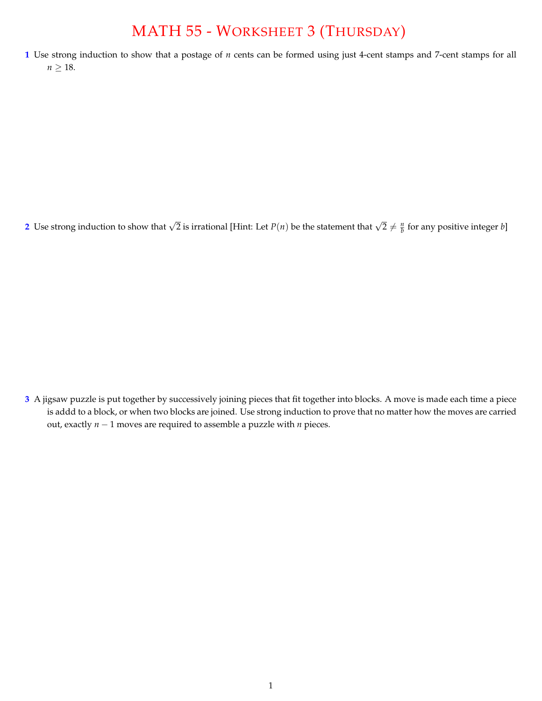## MATH 55 - WORKSHEET 3 (THURSDAY)

**1** Use strong induction to show that a postage of *n* cents can be formed using just 4-cent stamps and 7-cent stamps for all  $n \geq 18$ .

2 Use strong induction to show that  $\sqrt{2}$  is irrational [Hint: Let  $P(n)$  be the statement that  $\sqrt{2}\neq \frac{n}{b}$  for any positive integer  $b$ ]

**3** A jigsaw puzzle is put together by successively joining pieces that fit together into blocks. A move is made each time a piece is addd to a block, or when two blocks are joined. Use strong induction to prove that no matter how the moves are carried out, exactly  $n - 1$  moves are required to assemble a puzzle with  $n$  pieces.